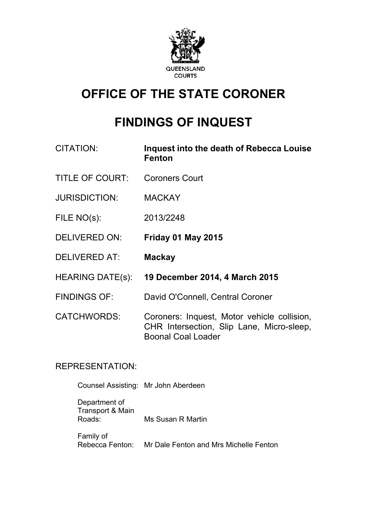

# **OFFICE OF THE STATE CORONER**

# **FINDINGS OF INQUEST**

- CITATION: **Inquest into the death of Rebecca Louise Fenton**
- TITLE OF COURT: Coroners Court
- JURISDICTION: MACKAY
- FILE NO(s): 2013/2248
- DELIVERED ON: **Friday 01 May 2015**
- DELIVERED AT: **Mackay**
- HEARING DATE(s): **19 December 2014, 4 March 2015**
- FINDINGS OF: David O'Connell, Central Coroner

CATCHWORDS: Coroners: Inquest, Motor vehicle collision, CHR Intersection, Slip Lane, Micro-sleep, Boonal Coal Loader

# REPRESENTATION:

Counsel Assisting: Mr John Aberdeen

Department of Transport & Main Roads: Ms Susan R Martin

Family of Rebecca Fenton: Mr Dale Fenton and Mrs Michelle Fenton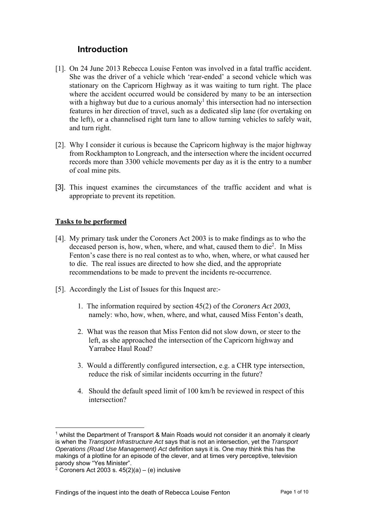# **Introduction**

- [1]. On 24 June 2013 Rebecca Louise Fenton was involved in a fatal traffic accident. She was the driver of a vehicle which 'rear-ended' a second vehicle which was stationary on the Capricorn Highway as it was waiting to turn right. The place where the accident occurred would be considered by many to be an intersection with a highway but due to a curious anomaly<sup>1</sup> this intersection had no intersection features in her direction of travel, such as a dedicated slip lane (for overtaking on the left), or a channelised right turn lane to allow turning vehicles to safely wait, and turn right.
- [2]. Why I consider it curious is because the Capricorn highway is the major highway from Rockhampton to Longreach, and the intersection where the incident occurred records more than 3300 vehicle movements per day as it is the entry to a number of coal mine pits.
- [3]. This inquest examines the circumstances of the traffic accident and what is appropriate to prevent its repetition.

#### **Tasks to be performed**

- [4]. My primary task under the Coroners Act 2003 is to make findings as to who the deceased person is, how, when, where, and what, caused them to die<sup>2</sup>. In Miss Fenton's case there is no real contest as to who, when, where, or what caused her to die. The real issues are directed to how she died, and the appropriate recommendations to be made to prevent the incidents re-occurrence.
- [5]. Accordingly the List of Issues for this Inquest are:-
	- 1. The information required by section 45(2) of the *Coroners Act 2003*, namely: who, how, when, where, and what, caused Miss Fenton's death,
	- 2. What was the reason that Miss Fenton did not slow down, or steer to the left, as she approached the intersection of the Capricorn highway and Yarrabee Haul Road?
	- 3. Would a differently configured intersection, e.g. a CHR type intersection, reduce the risk of similar incidents occurring in the future?
	- 4. Should the default speed limit of 100 km/h be reviewed in respect of this intersection?

 $<sup>1</sup>$  whilst the Department of Transport & Main Roads would not consider it an anomaly it clearly</sup> is when the *Transport Infrastructure Act* says that is not an intersection, yet the *Transport Operations (Road Use Management) Act* definition says it is. One may think this has the makings of a plotline for an episode of the clever, and at times very perceptive, television parody show "Yes Minister".

 $2$  Coroners Act 2003 s. 45(2)(a) – (e) inclusive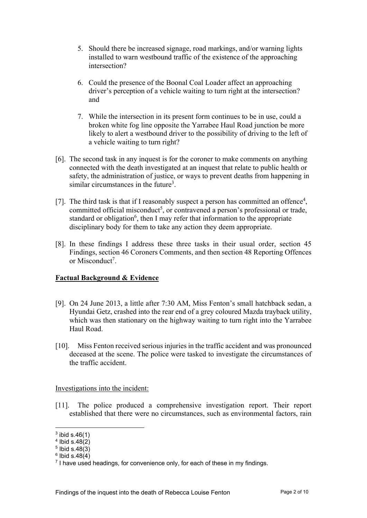- 5. Should there be increased signage, road markings, and/or warning lights installed to warn westbound traffic of the existence of the approaching intersection?
- 6. Could the presence of the Boonal Coal Loader affect an approaching driver's perception of a vehicle waiting to turn right at the intersection? and
- 7. While the intersection in its present form continues to be in use, could a broken white fog line opposite the Yarrabee Haul Road junction be more likely to alert a westbound driver to the possibility of driving to the left of a vehicle waiting to turn right?
- [6]. The second task in any inquest is for the coroner to make comments on anything connected with the death investigated at an inquest that relate to public health or safety, the administration of justice, or ways to prevent deaths from happening in similar circumstances in the future<sup>3</sup>.
- [7]. The third task is that if I reasonably suspect a person has committed an offence<sup>4</sup>, committed official misconduct<sup>5</sup>, or contravened a person's professional or trade, standard or obligation<sup>6</sup>, then I may refer that information to the appropriate disciplinary body for them to take any action they deem appropriate.
- [8]. In these findings I address these three tasks in their usual order, section 45 Findings, section 46 Coroners Comments, and then section 48 Reporting Offences or Misconduct<sup>7</sup>.

## **Factual Background & Evidence**

- [9]. On 24 June 2013, a little after 7:30 AM, Miss Fenton's small hatchback sedan, a Hyundai Getz, crashed into the rear end of a grey coloured Mazda trayback utility, which was then stationary on the highway waiting to turn right into the Yarrabee Haul Road.
- [10]. Miss Fenton received serious injuries in the traffic accident and was pronounced deceased at the scene. The police were tasked to investigate the circumstances of the traffic accident.

## Investigations into the incident:

[11]. The police produced a comprehensive investigation report. Their report established that there were no circumstances, such as environmental factors, rain

 $3$  ibid s.46(1)

 $4$  Ibid s.48 $(2)$ 

 $5$  Ibid s.48 $(3)$ 

 $6$  Ibid s.48 $(4)$ 

 $7$  I have used headings, for convenience only, for each of these in my findings.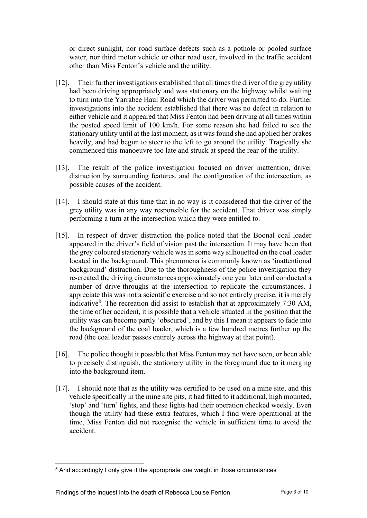or direct sunlight, nor road surface defects such as a pothole or pooled surface water, nor third motor vehicle or other road user, involved in the traffic accident other than Miss Fenton's vehicle and the utility.

- [12]. Their further investigations established that all times the driver of the grey utility had been driving appropriately and was stationary on the highway whilst waiting to turn into the Yarrabee Haul Road which the driver was permitted to do. Further investigations into the accident established that there was no defect in relation to either vehicle and it appeared that Miss Fenton had been driving at all times within the posted speed limit of 100 km/h. For some reason she had failed to see the stationary utility until at the last moment, as it was found she had applied her brakes heavily, and had begun to steer to the left to go around the utility. Tragically she commenced this manoeuvre too late and struck at speed the rear of the utility.
- [13]. The result of the police investigation focused on driver inattention, driver distraction by surrounding features, and the configuration of the intersection, as possible causes of the accident.
- [14]. I should state at this time that in no way is it considered that the driver of the grey utility was in any way responsible for the accident. That driver was simply performing a turn at the intersection which they were entitled to.
- [15]. In respect of driver distraction the police noted that the Boonal coal loader appeared in the driver's field of vision past the intersection. It may have been that the grey coloured stationary vehicle was in some way silhouetted on the coal loader located in the background. This phenomena is commonly known as 'inattentional background' distraction. Due to the thoroughness of the police investigation they re-created the driving circumstances approximately one year later and conducted a number of drive-throughs at the intersection to replicate the circumstances. I appreciate this was not a scientific exercise and so not entirely precise, it is merely indicative<sup>8</sup>. The recreation did assist to establish that at approximately 7:30 AM, the time of her accident, it is possible that a vehicle situated in the position that the utility was can become partly 'obscured', and by this I mean it appears to fade into the background of the coal loader, which is a few hundred metres further up the road (the coal loader passes entirely across the highway at that point).
- [16]. The police thought it possible that Miss Fenton may not have seen, or been able to precisely distinguish, the stationery utility in the foreground due to it merging into the background item.
- [17]. I should note that as the utility was certified to be used on a mine site, and this vehicle specifically in the mine site pits, it had fitted to it additional, high mounted, 'stop' and 'turn' lights, and these lights had their operation checked weekly. Even though the utility had these extra features, which I find were operational at the time, Miss Fenton did not recognise the vehicle in sufficient time to avoid the accident.

<sup>&</sup>lt;sup>8</sup> And accordingly I only give it the appropriate due weight in those circumstances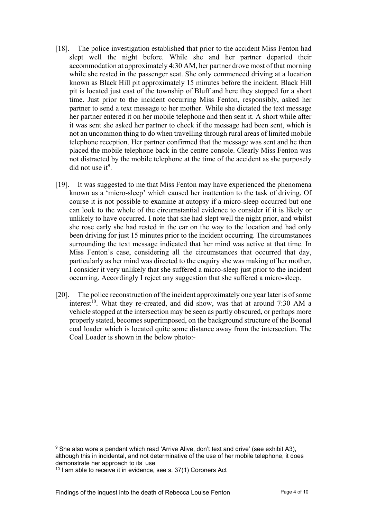- [18]. The police investigation established that prior to the accident Miss Fenton had slept well the night before. While she and her partner departed their accommodation at approximately 4:30 AM, her partner drove most of that morning while she rested in the passenger seat. She only commenced driving at a location known as Black Hill pit approximately 15 minutes before the incident. Black Hill pit is located just east of the township of Bluff and here they stopped for a short time. Just prior to the incident occurring Miss Fenton, responsibly, asked her partner to send a text message to her mother. While she dictated the text message her partner entered it on her mobile telephone and then sent it. A short while after it was sent she asked her partner to check if the message had been sent, which is not an uncommon thing to do when travelling through rural areas of limited mobile telephone reception. Her partner confirmed that the message was sent and he then placed the mobile telephone back in the centre console. Clearly Miss Fenton was not distracted by the mobile telephone at the time of the accident as she purposely  $did$  not use it<sup>9</sup>.
- [19]. It was suggested to me that Miss Fenton may have experienced the phenomena known as a 'micro-sleep' which caused her inattention to the task of driving. Of course it is not possible to examine at autopsy if a micro-sleep occurred but one can look to the whole of the circumstantial evidence to consider if it is likely or unlikely to have occurred. I note that she had slept well the night prior, and whilst she rose early she had rested in the car on the way to the location and had only been driving for just 15 minutes prior to the incident occurring. The circumstances surrounding the text message indicated that her mind was active at that time. In Miss Fenton's case, considering all the circumstances that occurred that day, particularly as her mind was directed to the enquiry she was making of her mother, I consider it very unlikely that she suffered a micro-sleep just prior to the incident occurring. Accordingly I reject any suggestion that she suffered a micro-sleep.
- [20]. The police reconstruction of the incident approximately one year later is of some interest<sup>10</sup>. What they re-created, and did show, was that at around 7:30 AM a vehicle stopped at the intersection may be seen as partly obscured, or perhaps more properly stated, becomes superimposed, on the background structure of the Boonal coal loader which is located quite some distance away from the intersection. The Coal Loader is shown in the below photo:-

<sup>&</sup>lt;sup>9</sup> She also wore a pendant which read 'Arrive Alive, don't text and drive' (see exhibit A3). although this in incidental, and not determinative of the use of her mobile telephone, it does demonstrate her approach to its' use

 $10$  I am able to receive it in evidence, see s. 37(1) Coroners Act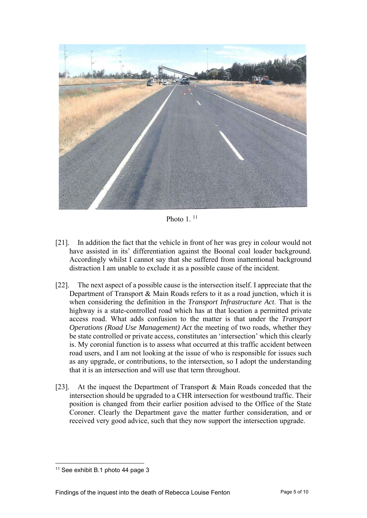

Photo  $1^{11}$ 

- [21]. In addition the fact that the vehicle in front of her was grey in colour would not have assisted in its' differentiation against the Boonal coal loader background. Accordingly whilst I cannot say that she suffered from inattentional background distraction I am unable to exclude it as a possible cause of the incident.
- [22]. The next aspect of a possible cause is the intersection itself. I appreciate that the Department of Transport & Main Roads refers to it as a road junction, which it is when considering the definition in the *Transport Infrastructure Act*. That is the highway is a state-controlled road which has at that location a permitted private access road. What adds confusion to the matter is that under the *Transport Operations (Road Use Management) Act* the meeting of two roads, whether they be state controlled or private access, constitutes an 'intersection' which this clearly is. My coronial function is to assess what occurred at this traffic accident between road users, and I am not looking at the issue of who is responsible for issues such as any upgrade, or contributions, to the intersection, so I adopt the understanding that it is an intersection and will use that term throughout.
- [23]. At the inquest the Department of Transport & Main Roads conceded that the intersection should be upgraded to a CHR intersection for westbound traffic. Their position is changed from their earlier position advised to the Office of the State Coroner. Clearly the Department gave the matter further consideration, and or received very good advice, such that they now support the intersection upgrade.

l <sup>11</sup> See exhibit B.1 photo 44 page 3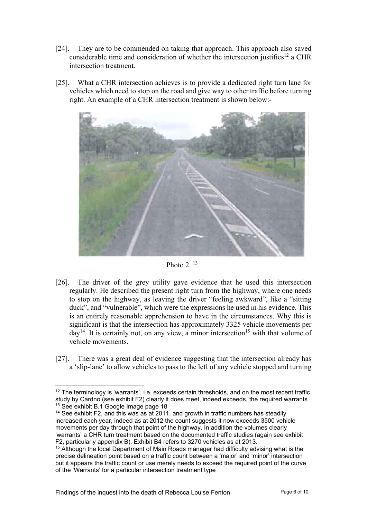- [24]. They are to be commended on taking that approach. This approach also saved considerable time and consideration of whether the intersection justifies<sup>12</sup> a CHR intersection treatment.
- [25]. What a CHR intersection achieves is to provide a dedicated right turn lane for vehicles which need to stop on the road and give way to other traffic before turning right. An example of a CHR intersection treatment is shown below:-





- [26]. The driver of the grey utility gave evidence that he used this intersection regularly. He described the present right turn from the highway, where one needs to stop on the highway, as leaving the driver "feeling awkward", like a "sitting duck", and "vulnerable", which were the expressions he used in his evidence. This is an entirely reasonable apprehension to have in the circumstances. Why this is significant is that the intersection has approximately 3325 vehicle movements per  $day<sup>14</sup>$ . It is certainly not, on any view, a minor intersection<sup>15</sup> with that volume of vehicle movements.
- [27]. There was a great deal of evidence suggesting that the intersection already has a 'slip-lane' to allow vehicles to pass to the left of any vehicle stopped and turning

<sup>&</sup>lt;sup>12</sup> The terminology is 'warrants', i.e. exceeds certain thresholds, and on the most recent traffic study by Cardno (see exhibit F2) clearly it does meet, indeed exceeds, the required warrants <sup>13</sup> See exhibit B.1 Google Image page 18

<sup>&</sup>lt;sup>14</sup> See exhibit F2, and this was as at 2011, and growth in traffic numbers has steadily increased each year, indeed as at 2012 the count suggests it now exceeds 3500 vehicle movements per day through that point of the highway. In addition the volumes clearly 'warrants' a CHR turn treatment based on the documented traffic studies (again see exhibit F2, particularly appendix B). Exhibit B4 refers to 3270 vehicles as at 2013.

<sup>&</sup>lt;sup>15</sup> Although the local Department of Main Roads manager had difficulty advising what is the precise delineation point based on a traffic count between a 'major' and 'minor' intersection but it appears the traffic count or use merely needs to exceed the required point of the curve of the 'Warrants' for a particular intersection treatment type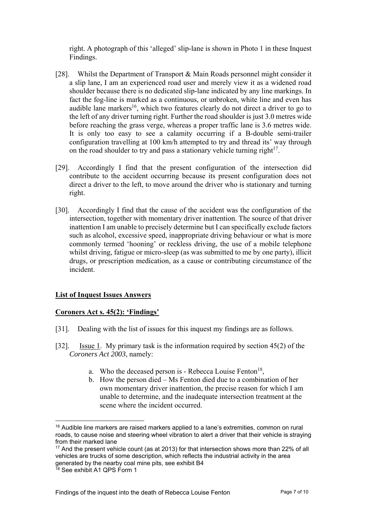right. A photograph of this 'alleged' slip-lane is shown in Photo 1 in these Inquest Findings.

- [28]. Whilst the Department of Transport & Main Roads personnel might consider it a slip lane, I am an experienced road user and merely view it as a widened road shoulder because there is no dedicated slip-lane indicated by any line markings. In fact the fog-line is marked as a continuous, or unbroken, white line and even has audible lane markers<sup>16</sup>, which two features clearly do not direct a driver to go to the left of any driver turning right. Further the road shoulder is just 3.0 metres wide before reaching the grass verge, whereas a proper traffic lane is 3.6 metres wide. It is only too easy to see a calamity occurring if a B-double semi-trailer configuration travelling at 100 km/h attempted to try and thread its' way through on the road shoulder to try and pass a stationary vehicle turning right $17$ .
- [29]. Accordingly I find that the present configuration of the intersection did contribute to the accident occurring because its present configuration does not direct a driver to the left, to move around the driver who is stationary and turning right.
- [30]. Accordingly I find that the cause of the accident was the configuration of the intersection, together with momentary driver inattention. The source of that driver inattention I am unable to precisely determine but I can specifically exclude factors such as alcohol, excessive speed, inappropriate driving behaviour or what is more commonly termed 'hooning' or reckless driving, the use of a mobile telephone whilst driving, fatigue or micro-sleep (as was submitted to me by one party), illicit drugs, or prescription medication, as a cause or contributing circumstance of the incident.

## **List of Inquest Issues Answers**

#### **Coroners Act s. 45(2): 'Findings'**

- [31]. Dealing with the list of issues for this inquest my findings are as follows.
- [32]. Issue 1. My primary task is the information required by section 45(2) of the *Coroners Act 2003*, namely:
	- a. Who the deceased person is Rebecca Louise Fenton<sup>18</sup>,
	- b. How the person died Ms Fenton died due to a combination of her own momentary driver inattention, the precise reason for which I am unable to determine, and the inadequate intersection treatment at the scene where the incident occurred.

<sup>&</sup>lt;sup>16</sup> Audible line markers are raised markers applied to a lane's extremities, common on rural roads, to cause noise and steering wheel vibration to alert a driver that their vehicle is straying from their marked lane

 $17$  And the present vehicle count (as at 2013) for that intersection shows more than 22% of all vehicles are trucks of some description, which reflects the industrial activity in the area generated by the nearby coal mine pits, see exhibit B4

<sup>&</sup>lt;sup>18</sup> See exhibit A1 QPS Form 1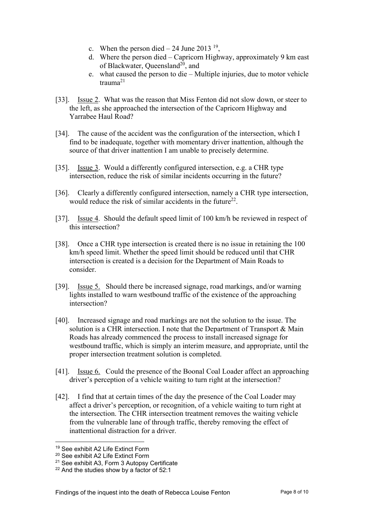- c. When the person died  $-24$  June 2013<sup>19</sup>,
- d. Where the person died Capricorn Highway, approximately 9 km east of Blackwater, Queensland<sup>20</sup>, and
- e. what caused the person to die Multiple injuries, due to motor vehicle trauma<sup>21</sup>
- [33]. Issue 2. What was the reason that Miss Fenton did not slow down, or steer to the left, as she approached the intersection of the Capricorn Highway and Yarrabee Haul Road?
- [34]. The cause of the accident was the configuration of the intersection, which I find to be inadequate, together with momentary driver inattention, although the source of that driver inattention I am unable to precisely determine.
- [35]. Issue 3. Would a differently configured intersection, e.g. a CHR type intersection, reduce the risk of similar incidents occurring in the future?
- [36]. Clearly a differently configured intersection, namely a CHR type intersection, would reduce the risk of similar accidents in the future<sup>22</sup>.
- [37]. Issue 4. Should the default speed limit of 100 km/h be reviewed in respect of this intersection?
- [38]. Once a CHR type intersection is created there is no issue in retaining the 100 km/h speed limit. Whether the speed limit should be reduced until that CHR intersection is created is a decision for the Department of Main Roads to consider.
- [39]. Issue 5. Should there be increased signage, road markings, and/or warning lights installed to warn westbound traffic of the existence of the approaching intersection?
- [40]. Increased signage and road markings are not the solution to the issue. The solution is a CHR intersection. I note that the Department of Transport & Main Roads has already commenced the process to install increased signage for westbound traffic, which is simply an interim measure, and appropriate, until the proper intersection treatment solution is completed.
- [41]. Issue 6. Could the presence of the Boonal Coal Loader affect an approaching driver's perception of a vehicle waiting to turn right at the intersection?
- [42]. I find that at certain times of the day the presence of the Coal Loader may affect a driver's perception, or recognition, of a vehicle waiting to turn right at the intersection. The CHR intersection treatment removes the waiting vehicle from the vulnerable lane of through traffic, thereby removing the effect of inattentional distraction for a driver.

<sup>19</sup> See exhibit A2 Life Extinct Form

<sup>20</sup> See exhibit A2 Life Extinct Form

<sup>21</sup> See exhibit A3, Form 3 Autopsy Certificate

 $22$  And the studies show by a factor of 52:1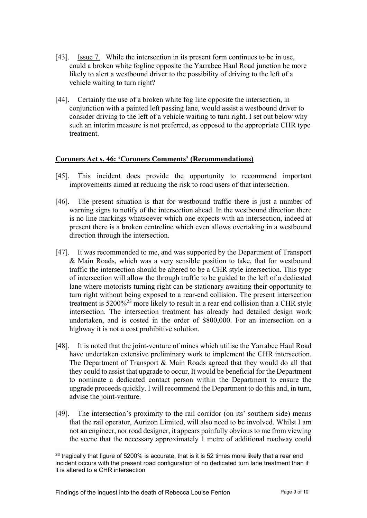- [43]. Issue 7. While the intersection in its present form continues to be in use, could a broken white fogline opposite the Yarrabee Haul Road junction be more likely to alert a westbound driver to the possibility of driving to the left of a vehicle waiting to turn right?
- [44]. Certainly the use of a broken white fog line opposite the intersection, in conjunction with a painted left passing lane, would assist a westbound driver to consider driving to the left of a vehicle waiting to turn right. I set out below why such an interim measure is not preferred, as opposed to the appropriate CHR type treatment.

#### **Coroners Act s. 46: 'Coroners Comments' (Recommendations)**

- [45]. This incident does provide the opportunity to recommend important improvements aimed at reducing the risk to road users of that intersection.
- [46]. The present situation is that for westbound traffic there is just a number of warning signs to notify of the intersection ahead. In the westbound direction there is no line markings whatsoever which one expects with an intersection, indeed at present there is a broken centreline which even allows overtaking in a westbound direction through the intersection.
- [47]. It was recommended to me, and was supported by the Department of Transport & Main Roads, which was a very sensible position to take, that for westbound traffic the intersection should be altered to be a CHR style intersection. This type of intersection will allow the through traffic to be guided to the left of a dedicated lane where motorists turning right can be stationary awaiting their opportunity to turn right without being exposed to a rear-end collision. The present intersection treatment is 5200%23 more likely to result in a rear end collision than a CHR style intersection. The intersection treatment has already had detailed design work undertaken, and is costed in the order of \$800,000. For an intersection on a highway it is not a cost prohibitive solution.
- [48]. It is noted that the joint-venture of mines which utilise the Yarrabee Haul Road have undertaken extensive preliminary work to implement the CHR intersection. The Department of Transport & Main Roads agreed that they would do all that they could to assist that upgrade to occur. It would be beneficial for the Department to nominate a dedicated contact person within the Department to ensure the upgrade proceeds quickly. I will recommend the Department to do this and, in turn, advise the joint-venture.
- [49]. The intersection's proximity to the rail corridor (on its' southern side) means that the rail operator, Aurizon Limited, will also need to be involved. Whilst I am not an engineer, nor road designer, it appears painfully obvious to me from viewing the scene that the necessary approximately 1 metre of additional roadway could

l  $23$  tragically that figure of 5200% is accurate, that is it is 52 times more likely that a rear end incident occurs with the present road configuration of no dedicated turn lane treatment than if it is altered to a CHR intersection